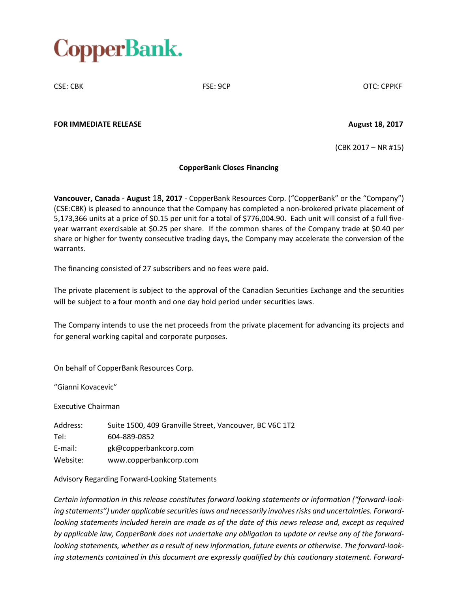

CSE: CBK FSE: 9CP OTC: CPPKF

**FOR IMMEDIATE RELEASE August 18, 2017**

(CBK 2017 – NR #15)

## **CopperBank Closes Financing**

**Vancouver, Canada - August** 18**, 2017** - CopperBank Resources Corp. ("CopperBank" or the "Company") (CSE:CBK) is pleased to announce that the Company has completed a non-brokered private placement of 5,173,366 units at a price of \$0.15 per unit for a total of \$776,004.90. Each unit will consist of a full fiveyear warrant exercisable at \$0.25 per share. If the common shares of the Company trade at \$0.40 per share or higher for twenty consecutive trading days, the Company may accelerate the conversion of the warrants.

The financing consisted of 27 subscribers and no fees were paid.

The private placement is subject to the approval of the Canadian Securities Exchange and the securities will be subject to a four month and one day hold period under securities laws.

The Company intends to use the net proceeds from the private placement for advancing its projects and for general working capital and corporate purposes.

On behalf of CopperBank Resources Corp.

"Gianni Kovacevic"

Executive Chairman

Address: Suite 1500, 409 Granville Street, Vancouver, BC V6C 1T2 Tel: 604-889-0852 E-mail: gk@copperbankcorp.com Website: www.copperbankcorp.com

Advisory Regarding Forward-Looking Statements

*Certain information in this release constitutes forward looking statements or information ("forward-looking statements") under applicable securitieslaws and necessarily involvesrisks and uncertainties. Forward*looking statements included herein are made as of the date of this news release and, except as required *by applicable law, CopperBank does not undertake any obligation to update or revise any of the forwardlooking statements, whether as a result of new information, future events or otherwise. The forward-looking statements contained in this document are expressly qualified by this cautionary statement. Forward-*